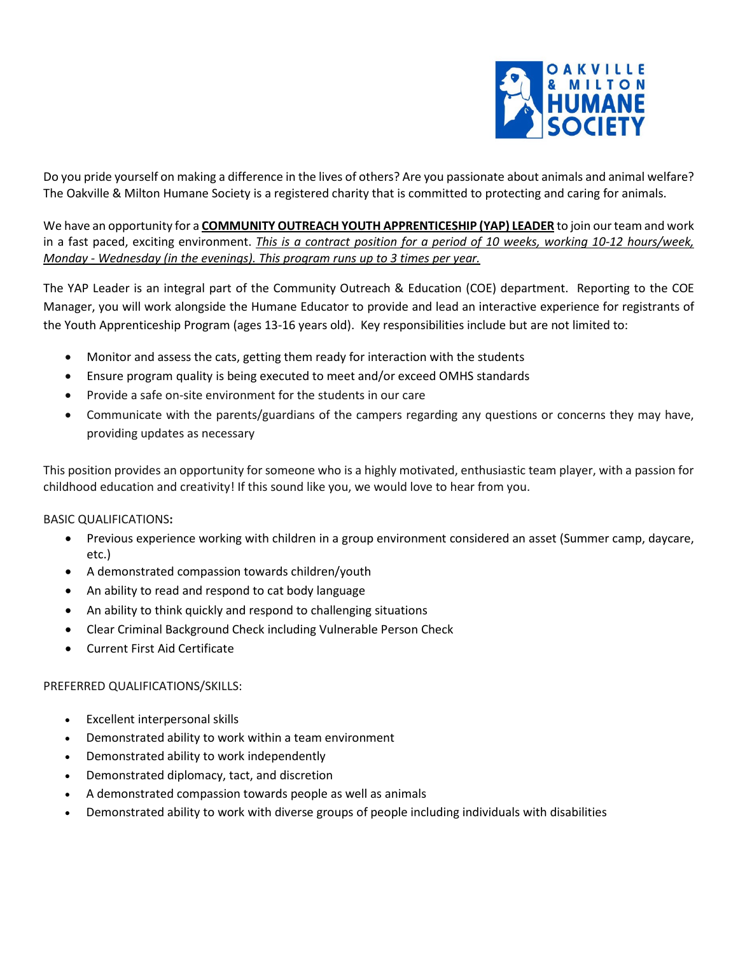

Do you pride yourself on making a difference in the lives of others? Are you passionate about animals and animal welfare? The Oakville & Milton Humane Society is a registered charity that is committed to protecting and caring for animals.

We have an opportunity for a **COMMUNITY OUTREACH YOUTH APPRENTICESHIP (YAP) LEADER** to join our team and work in a fast paced, exciting environment. *This is a contract position for a period of 10 weeks, working 10-12 hours/week, Monday - Wednesday (in the evenings). This program runs up to 3 times per year.*

The YAP Leader is an integral part of the Community Outreach & Education (COE) department. Reporting to the COE Manager, you will work alongside the Humane Educator to provide and lead an interactive experience for registrants of the Youth Apprenticeship Program (ages 13-16 years old). Key responsibilities include but are not limited to:

- Monitor and assess the cats, getting them ready for interaction with the students
- Ensure program quality is being executed to meet and/or exceed OMHS standards
- Provide a safe on-site environment for the students in our care
- Communicate with the parents/guardians of the campers regarding any questions or concerns they may have, providing updates as necessary

This position provides an opportunity for someone who is a highly motivated, enthusiastic team player, with a passion for childhood education and creativity! If this sound like you, we would love to hear from you.

BASIC QUALIFICATIONS**:**

- Previous experience working with children in a group environment considered an asset (Summer camp, daycare, etc.)
- A demonstrated compassion towards children/youth
- An ability to read and respond to cat body language
- An ability to think quickly and respond to challenging situations
- Clear Criminal Background Check including Vulnerable Person Check
- Current First Aid Certificate

## PREFERRED QUALIFICATIONS/SKILLS:

- Excellent interpersonal skills
- Demonstrated ability to work within a team environment
- Demonstrated ability to work independently
- Demonstrated diplomacy, tact, and discretion
- A demonstrated compassion towards people as well as animals
- Demonstrated ability to work with diverse groups of people including individuals with disabilities